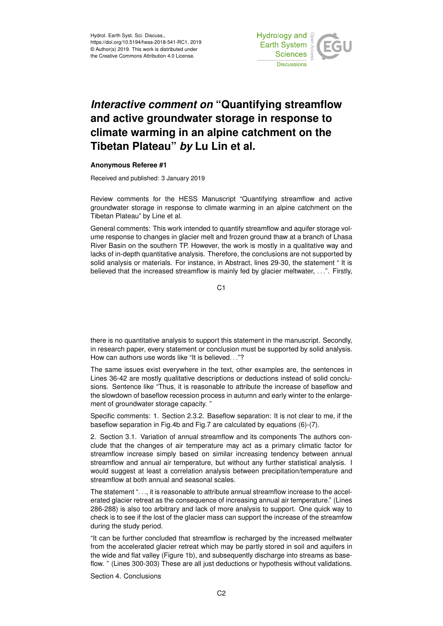

## *Interactive comment on* **"Quantifying streamflow and active groundwater storage in response to climate warming in an alpine catchment on the Tibetan Plateau"** *by* **Lu Lin et al.**

## **Anonymous Referee #1**

Received and published: 3 January 2019

Review comments for the HESS Manuscript "Quantifying streamflow and active groundwater storage in response to climate warming in an alpine catchment on the Tibetan Plateau" by Line et al.

General comments: This work intended to quantify streamflow and aquifer storage volume response to changes in glacier melt and frozen ground thaw at a branch of Lhasa River Basin on the southern TP. However, the work is mostly in a qualitative way and lacks of in-depth quantitative analysis. Therefore, the conclusions are not supported by solid analysis or materials. For instance, in Abstract, lines 29-30, the statement " It is believed that the increased streamflow is mainly fed by glacier meltwater, . . .". Firstly,

C1

there is no quantitative analysis to support this statement in the manuscript. Secondly, in research paper, every statement or conclusion must be supported by solid analysis. How can authors use words like "It is believed. . ."?

The same issues exist everywhere in the text, other examples are, the sentences in Lines 36-42 are mostly qualitative descriptions or deductions instead of solid conclusions. Sentence like "Thus, it is reasonable to attribute the increase of baseflow and the slowdown of baseflow recession process in autumn and early winter to the enlargement of groundwater storage capacity. "

Specific comments: 1. Section 2.3.2. Baseflow separation: It is not clear to me, if the baseflow separation in Fig.4b and Fig.7 are calculated by equations (6)-(7).

2. Section 3.1. Variation of annual streamflow and its components The authors conclude that the changes of air temperature may act as a primary climatic factor for streamflow increase simply based on similar increasing tendency between annual streamflow and annual air temperature, but without any further statistical analysis. I would suggest at least a correlation analysis between precipitation/temperature and streamflow at both annual and seasonal scales.

The statement "..., it is reasonable to attribute annual streamflow increase to the accelerated glacier retreat as the consequence of increasing annual air temperature." (Lines 286-288) is also too arbitrary and lack of more analysis to support. One quick way to check is to see if the lost of the glacier mass can support the increase of the streamfow during the study period.

"It can be further concluded that streamflow is recharged by the increased meltwater from the accelerated glacier retreat which may be partly stored in soil and aquifers in the wide and flat valley (Figure 1b), and subsequently discharge into streams as baseflow. " (Lines 300-303) These are all just deductions or hypothesis without validations.

Section 4. Conclusions